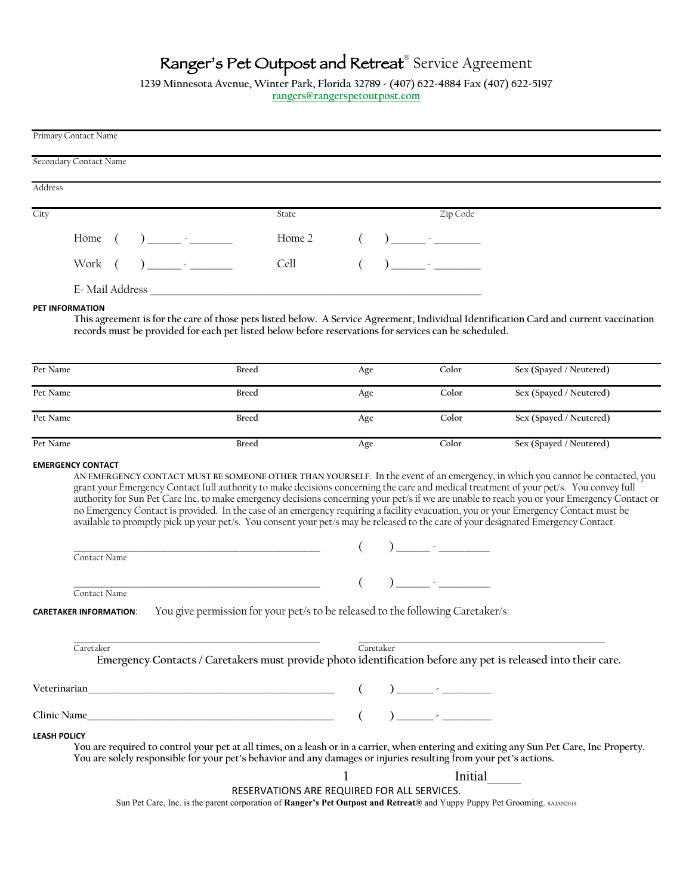# Ranger's Pet Outpost and Retreat**®** Service Agreement

**1239 Minnesota Avenue, Winter Park, Florida 32789 - (407) 622-4884 Fax (407) 622-5197 rangers@rangerspetoutpost.com**

|                     | Primary Contact Name          |  |                         |              |                                                                             |     |           |                                                                                                                            |                                                                                                                                                                                                                                                                            |
|---------------------|-------------------------------|--|-------------------------|--------------|-----------------------------------------------------------------------------|-----|-----------|----------------------------------------------------------------------------------------------------------------------------|----------------------------------------------------------------------------------------------------------------------------------------------------------------------------------------------------------------------------------------------------------------------------|
|                     | <b>Secondary Contact Name</b> |  |                         |              |                                                                             |     |           |                                                                                                                            |                                                                                                                                                                                                                                                                            |
| Address             |                               |  |                         |              |                                                                             |     |           |                                                                                                                            |                                                                                                                                                                                                                                                                            |
|                     |                               |  |                         |              |                                                                             |     |           |                                                                                                                            |                                                                                                                                                                                                                                                                            |
| City                |                               |  |                         |              | State                                                                       |     |           | Zip Code                                                                                                                   |                                                                                                                                                                                                                                                                            |
|                     | Home (                        |  | ) and the set of $\sim$ |              | Home 2                                                                      |     |           |                                                                                                                            |                                                                                                                                                                                                                                                                            |
|                     | Work (                        |  | $\sum_{i=1}^{n}$        |              | Cell                                                                        |     |           |                                                                                                                            |                                                                                                                                                                                                                                                                            |
|                     | E- Mail Address               |  |                         |              |                                                                             |     |           |                                                                                                                            |                                                                                                                                                                                                                                                                            |
| PET INFORMATION     |                               |  |                         |              |                                                                             |     |           | records must be provided for each pet listed below before reservations for services can be scheduled.                      | This agreement is for the care of those pets listed below. A Service Agreement, Individual Identification Card and current vaccination                                                                                                                                     |
| Pet Name            |                               |  |                         | Breed        |                                                                             | Age |           | Color                                                                                                                      | Sex (Spayed / Neutered)                                                                                                                                                                                                                                                    |
| Pet Name            |                               |  |                         | <b>Breed</b> |                                                                             | Age |           | Color                                                                                                                      | Sex (Spayed / Neutered)                                                                                                                                                                                                                                                    |
| Pet Name            |                               |  |                         | <b>Breed</b> |                                                                             | Age |           | Color                                                                                                                      | Sex (Spayed / Neutered)                                                                                                                                                                                                                                                    |
| Pet Name            |                               |  |                         | <b>Breed</b> |                                                                             | Age |           | Color                                                                                                                      | Sex (Spayed / Neutered)                                                                                                                                                                                                                                                    |
|                     |                               |  |                         |              | <u> 1989 - Johann Barbara, martxa alemaniar arg</u> entziar eta esperantzia |     |           | $\left(\begin{array}{c} \begin{array}{c} \end{array}\\ \end{array}\right)$ $\begin{array}{c} \begin{array}{c} \end{array}$ | no Emergency Contact is provided. In the case of an emergency requiring a facility evacuation, you or your Emergency Contact must be<br>available to promptly pick up your pet/s. You consent your pet/s may be released to the care of your designated Emergency Contact. |
|                     | Contact Name                  |  |                         |              |                                                                             |     |           |                                                                                                                            |                                                                                                                                                                                                                                                                            |
|                     | Contact Name                  |  |                         |              | <u> 1980 - Johann Barbara, martin a</u>                                     |     |           |                                                                                                                            |                                                                                                                                                                                                                                                                            |
|                     | <b>CARETAKER INFORMATION:</b> |  |                         |              |                                                                             |     |           | You give permission for your pet/s to be released to the following Caretaker/s:                                            |                                                                                                                                                                                                                                                                            |
|                     | Caretaker                     |  |                         |              |                                                                             |     | Caretaker |                                                                                                                            | Emergency Contacts / Caretakers must provide photo identification before any pet is released into their care.                                                                                                                                                              |
|                     |                               |  |                         |              |                                                                             |     |           |                                                                                                                            |                                                                                                                                                                                                                                                                            |
|                     |                               |  |                         |              |                                                                             |     |           |                                                                                                                            |                                                                                                                                                                                                                                                                            |
| <b>LEASH POLICY</b> |                               |  |                         |              |                                                                             |     |           | You are solely responsible for your pet's behavior and any damages or injuries resulting from your pet's actions.          | You are required to control your pet at all times, on a leash or in a carrier, when entering and exiting any Sun Pet Care, Inc Property.                                                                                                                                   |
|                     |                               |  |                         |              |                                                                             |     |           | Initial                                                                                                                    |                                                                                                                                                                                                                                                                            |
|                     |                               |  |                         |              | RESERVATIONS ARE REQUIRED FOR ALL SERVICES.                                 |     |           |                                                                                                                            | Sun Pet Care, Inc. is the parent corporation of Ranger's Pet Outpost and Retreat® and Yuppy Puppy Pet Grooming. SAJAN2019                                                                                                                                                  |
|                     |                               |  |                         |              |                                                                             |     |           |                                                                                                                            |                                                                                                                                                                                                                                                                            |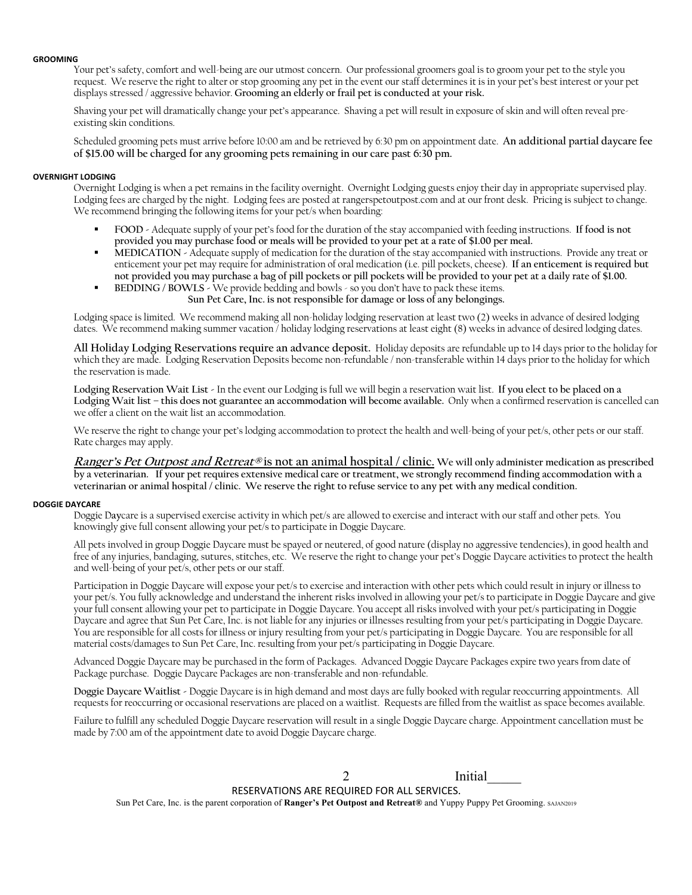# **GROOMING**

Your pet's safety, comfort and well-being are our utmost concern. Our professional groomers goal is to groom your pet to the style you request. We reserve the right to alter or stop grooming any pet in the event our staff determines it is in your pet's best interest or your pet displays stressed / aggressive behavior. **Grooming an elderly or frail pet is conducted at your risk.**

Shaving your pet will dramatically change your pet's appearance. Shaving a pet will result in exposure of skin and will often reveal preexisting skin conditions.

Scheduled grooming pets must arrive before 10:00 am and be retrieved by 6:30 pm on appointment date. **An additional partial daycare fee of \$15.00 will be charged for any grooming pets remaining in our care past 6:30 pm.**

# **OVERNIGHT LODGING**

Overnight Lodging is when a pet remains in the facility overnight. Overnight Lodging guests enjoy their day in appropriate supervised play. Lodging fees are charged by the night. Lodging fees are posted at rangerspetoutpost.com and at our front desk. Pricing is subject to change. We recommend bringing the following items for your pet/s when boarding:

- ! **FOOD -** Adequate supply of your pet's food for the duration of the stay accompanied with feeding instructions. **If food is not provided you may purchase food or meals will be provided to your pet at a rate of \$1.00 per meal.**
- ! **MEDICATION -** Adequate supply of medication for the duration of the stay accompanied with instructions. Provide any treat or enticement your pet may require for administration of oral medication (i.e. pill pockets, cheese). **If an enticement is required but not provided you may purchase a bag of pill pockets or pill pockets will be provided to your pet at a daily rate of \$1.00.**
- ! **BEDDING / BOWLS -** We provide bedding and bowls so you don't have to pack these items. **Sun Pet Care, Inc. is not responsible for damage or loss of any belongings.**

Lodging space is limited. We recommend making all non-holiday lodging reservation at least two (2) weeks in advance of desired lodging dates. We recommend making summer vacation / holiday lodging reservations at least eight (8) weeks in advance of desired lodging dates.

**All Holiday Lodging Reservations require an advance deposit.** Holiday deposits are refundable up to 14 days prior to the holiday for which they are made. Lodging Reservation Deposits become non-refundable / non-transferable within 14 days prior to the holiday for which the reservation is made.

**Lodging Reservation Wait List -** In the event our Lodging is full we will begin a reservation wait list. **If you elect to be placed on a Lodging Wait list – this does not guarantee an accommodation will become available.** Only when a confirmed reservation is cancelled can we offer a client on the wait list an accommodation.

We reserve the right to change your pet's lodging accommodation to protect the health and well-being of your pet/s, other pets or our staff. Rate charges may apply.

**Ranger's Pet Outpost and Retreat® is not an animal hospital / clinic. We will only administer medication as prescribed by a veterinarian. If your pet requires extensive medical care or treatment, we strongly recommend finding accommodation with a veterinarian or animal hospital / clinic. We reserve the right to refuse service to any pet with any medical condition.** 

# **DOGGIE DAYCARE**

Doggie D**ay**care is a supervised exercise activity in which pet/s are allowed to exercise and interact with our staff and other pets. You knowingly give full consent allowing your pet/s to participate in Doggie Daycare.

All pets involved in group Doggie Daycare must be spayed or neutered, of good nature (display no aggressive tendencies), in good health and free of any injuries, bandaging, sutures, stitches, etc. We reserve the right to change your pet's Doggie Daycare activities to protect the health and well-being of your pet/s, other pets or our staff.

Participation in Doggie Daycare will expose your pet/s to exercise and interaction with other pets which could result in injury or illness to your pet/s. You fully acknowledge and understand the inherent risks involved in allowing your pet/s to participate in Doggie Daycare and give your full consent allowing your pet to participate in Doggie Daycare. You accept all risks involved with your pet/s participating in Doggie Daycare and agree that Sun Pet Care, Inc. is not liable for any injuries or illnesses resulting from your pet/s participating in Doggie Daycare. You are responsible for all costs for illness or injury resulting from your pet/s participating in Doggie Daycare. You are responsible for all material costs/damages to Sun Pet Care, Inc. resulting from your pet/s participating in Doggie Daycare.

Advanced Doggie Daycare may be purchased in the form of Packages. Advanced Doggie Daycare Packages expire two years from date of Package purchase. Doggie Daycare Packages are non-transferable and non-refundable.

**Doggie Daycare Waitlist -** Doggie Daycare is in high demand and most days are fully booked with regular reoccurring appointments. All requests for reoccurring or occasional reservations are placed on a waitlist. Requests are filled from the waitlist as space becomes available.

Failure to fulfill any scheduled Doggie Daycare reservation will result in a single Doggie Daycare charge. Appointment cancellation must be made by 7:00 am of the appointment date to avoid Doggie Daycare charge.

#### **Initial** RESERVATIONS ARE REQUIRED FOR ALL SERVICES.  $\mathfrak{D}$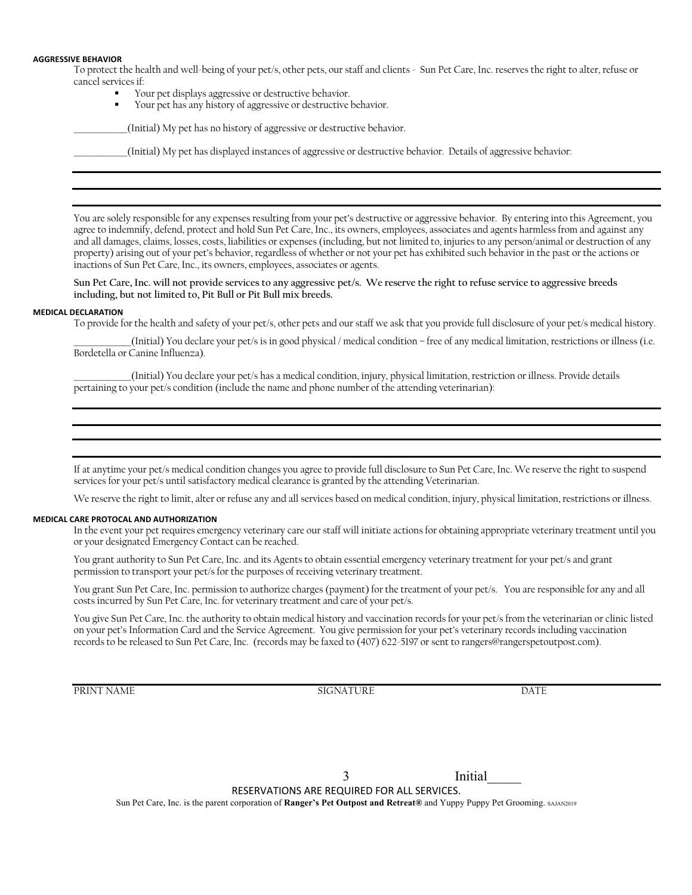#### **AGGRESSIVE BEHAVIOR**

To protect the health and well-being of your pet/s, other pets, our staff and clients - Sun Pet Care, Inc. reserves the right to alter, refuse or cancel services if:

- Your pet displays aggressive or destructive behavior.
- Your pet has any history of aggressive or destructive behavior.

(Initial) My pet has no history of aggressive or destructive behavior.

\_\_\_\_\_\_\_\_\_\_\_\_\_\_(Initial) My pet has displayed instances of aggressive or destructive behavior. Details of aggressive behavior:

You are solely responsible for any expenses resulting from your pet's destructive or aggressive behavior. By entering into this Agreement, you agree to indemnify, defend, protect and hold Sun Pet Care, Inc., its owners, employees, associates and agents harmless from and against any and all damages, claims, losses, costs, liabilities or expenses (including, but not limited to, injuries to any person/animal or destruction of any property) arising out of your pet's behavior, regardless of whether or not your pet has exhibited such behavior in the past or the actions or inactions of Sun Pet Care, Inc., its owners, employees, associates or agents.

**Sun Pet Care, Inc. will not provide services to any aggressive pet/s. We reserve the right to refuse service to aggressive breeds including, but not limited to, Pit Bull or Pit Bull mix breeds.** 

#### **MEDICAL DECLARATION**

To provide for the health and safety of your pet/s, other pets and our staff we ask that you provide full disclosure of your pet/s medical history.

\_\_\_\_\_\_\_\_\_\_\_\_\_\_\_(Initial) You declare your pet/s is in good physical / medical condition – free of any medical limitation, restrictions or illness (i.e. Bordetella or Canine Influenza).

\_\_\_\_\_\_\_\_\_\_\_\_\_\_\_(Initial) You declare your pet/s has a medical condition, injury, physical limitation, restriction or illness. Provide details pertaining to your pet/s condition (include the name and phone number of the attending veterinarian):

If at anytime your pet/s medical condition changes you agree to provide full disclosure to Sun Pet Care, Inc. We reserve the right to suspend services for your pet/s until satisfactory medical clearance is granted by the attending Veterinarian.

We reserve the right to limit, alter or refuse any and all services based on medical condition, injury, physical limitation, restrictions or illness.

#### **MEDICAL CARE PROTOCAL AND AUTHORIZATION**

In the event your pet requires emergency veterinary care our staff will initiate actions for obtaining appropriate veterinary treatment until you or your designated Emergency Contact can be reached.

You grant authority to Sun Pet Care, Inc. and its Agents to obtain essential emergency veterinary treatment for your pet/s and grant permission to transport your pet/s for the purposes of receiving veterinary treatment.

You grant Sun Pet Care, Inc. permission to authorize charges (payment) for the treatment of your pet/s. You are responsible for any and all costs incurred by Sun Pet Care, Inc. for veterinary treatment and care of your pet/s.

You give Sun Pet Care, Inc. the authority to obtain medical history and vaccination records for your pet/s from the veterinarian or clinic listed on your pet's Information Card and the Service Agreement. You give permission for your pet's veterinary records including vaccination records to be released to Sun Pet Care, Inc. (records may be faxed to (407) 622-5197 or sent to rangers@rangerspetoutpost.com).

PRINT NAME DATE SIGNATURE DATE

Initial\_\_\_\_\_

RESERVATIONS ARE REQUIRED FOR ALL SERVICES.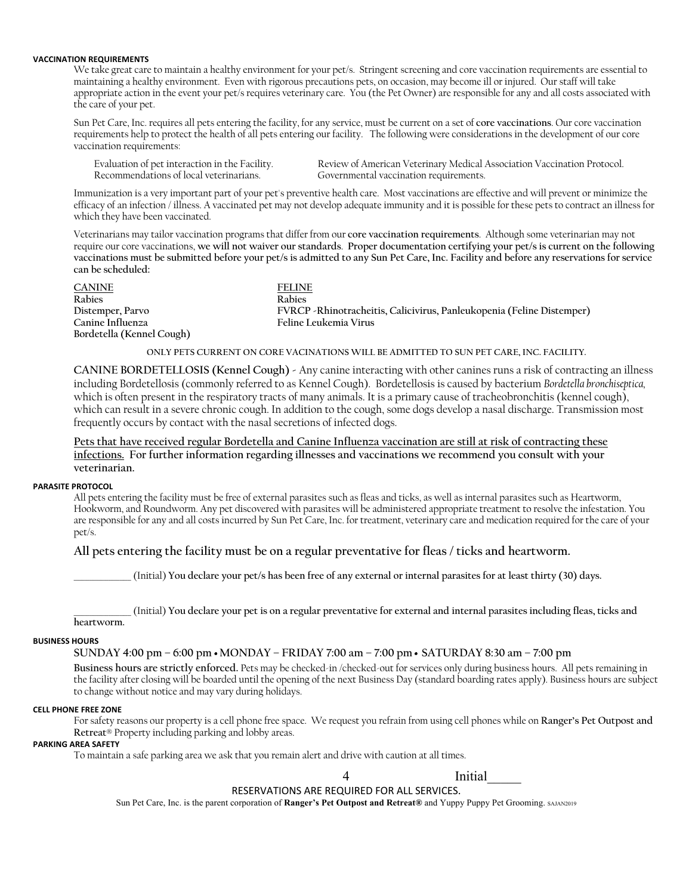# **VACCINATION REQUIREMENTS**

We take great care to maintain a healthy environment for your pet/s. Stringent screening and core vaccination requirements are essential to maintaining a healthy environment. Even with rigorous precautions pets, on occasion, may become ill or injured. Our staff will take appropriate action in the event your pet/s requires veterinary care. You (the Pet Owner) are responsible for any and all costs associated with the care of your pet.

Sun Pet Care, Inc. requires all pets entering the facility, for any service, must be current on a set of **core vaccinations**. Our core vaccination requirements help to protect the health of all pets entering our facility. The following were considerations in the development of our core vaccination requirements:

Recommendations of local veterinarians. Governmental vaccination requirements.

Evaluation of pet interaction in the Facility. Review of American Veterinary Medical Association Vaccination Protocol.

Immunization is a very important part of your pet's preventive health care. Most vaccinations are effective and will prevent or minimize the efficacy of an infection / illness. A vaccinated pet may not develop adequate immunity and it is possible for these pets to contract an illness for which they have been vaccinated.

Veterinarians may tailor vaccination programs that differ from our **core vaccination requirements**. Although some veterinarian may not require our core vaccinations, **we will not waiver our standards**. **Proper documentation certifying your pet/s is current on the following vaccinations must be submitted before your pet/s is admitted to any Sun Pet Care, Inc. Facility and before any reservations for service can be scheduled:**

| <b>CANINE</b>             | <b>FELINE</b>                                                          |
|---------------------------|------------------------------------------------------------------------|
| Rabies                    | Rabies                                                                 |
| Distemper, Parvo          | FVRCP - Rhinotracheitis, Calicivirus, Panleukopenia (Feline Distemper) |
| Canine Influenza          | Feline Leukemia Virus                                                  |
| Bordetella (Kennel Cough) |                                                                        |

# **ONLY PETS CURRENT ON CORE VACINATIONS WILL BE ADMITTED TO SUN PET CARE, INC. FACILITY.**

**CANINE BORDETELLOSIS (Kennel Cough) -** Any canine interacting with other canines runs a risk of contracting an illness including Bordetellosis (commonly referred to as Kennel Cough). Bordetellosis is caused by bacterium *Bordetella bronchiseptica,* which is often present in the respiratory tracts of many animals. It is a primary cause of tracheobronchitis (kennel cough), which can result in a severe chronic cough. In addition to the cough, some dogs develop a nasal discharge. Transmission most frequently occurs by contact with the nasal secretions of infected dogs.

**Pets that have received regular Bordetella and Canine Influenza vaccination are still at risk of contracting these infections. For further information regarding illnesses and vaccinations we recommend you consult with your veterinarian.**

# **PARASITE PROTOCOL**

All pets entering the facility must be free of external parasites such as fleas and ticks, as well as internal parasites such as Heartworm, Hookworm, and Roundworm. Any pet discovered with parasites will be administered appropriate treatment to resolve the infestation. You are responsible for any and all costs incurred by Sun Pet Care, Inc. for treatment, veterinary care and medication required for the care of your pet/s.

# **All pets entering the facility must be on a regular preventative for fleas / ticks and heartworm.**

\_\_\_\_\_\_\_\_\_\_\_\_\_\_\_ (Initial) **You declare your pet/s has been free of any external or internal parasites for at least thirty (30) days.** 

\_\_\_\_\_\_\_\_\_\_\_\_\_\_\_ (Initial) **You declare your pet is on a regular preventative for external and internal parasites including fleas, ticks and heartworm.** 

# **BUSINESS HOURS**

**SUNDAY 4:00 pm – 6:00 pm** • **MONDAY – FRIDAY 7:00 am – 7:00 pm** • **SATURDAY 8:30 am – 7:00 pm**

**Business hours are strictly enforced.** Pets may be checked-in /checked-out for services only during business hours. All pets remaining in the facility after closing will be boarded until the opening of the next Business Day (standard boarding rates apply). Business hours are subject to change without notice and may vary during holidays.

# **CELL PHONE FREE ZONE**

For safety reasons our property is a cell phone free space. We request you refrain from using cell phones while on **Ranger's Pet Outpost and Retreat**® Property including parking and lobby areas.

# **PARKING AREA SAFETY**

To maintain a safe parking area we ask that you remain alert and drive with caution at all times.

Initial\_\_\_\_\_

# RESERVATIONS ARE REQUIRED FOR ALL SERVICES.  $\Delta$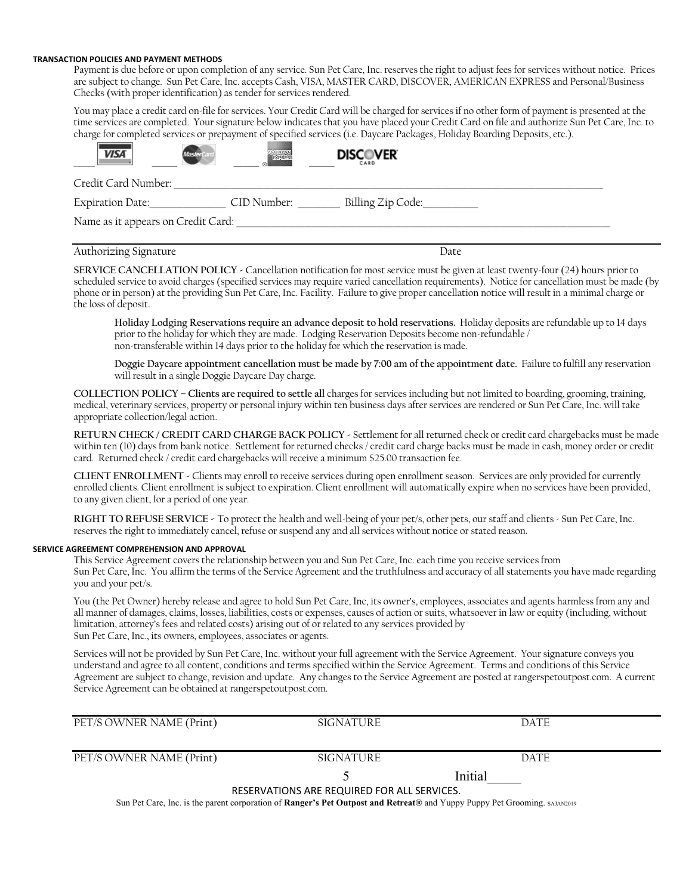# **TRANSACTION POLICIES AND PAYMENT METHODS**

Payment is due before or upon completion of any service. Sun Pet Care, Inc. reserves the right to adjust fees for services without notice. Prices are subject to change. Sun Pet Care, Inc. accepts Cash, VISA, MASTER CARD, DISCOVER, AMERICAN EXPRESS and Personal/Business Checks (with proper identification) as tender for services rendered.

You may place a credit card on-file for services. Your Credit Card will be charged for services if no other form of payment is presented at the time services are completed. Your signature below indicates that you have placed your Credit Card on file and authorize Sun Pet Care, Inc. to charge for completed services or prepayment of specified services (i.e. Daycare Packages, Holiday Boarding Deposits, etc.).

| <b>VISA</b>                        | EXPRES      | <b>DISCOVER</b><br><b>CARD</b> |  |
|------------------------------------|-------------|--------------------------------|--|
| Credit Card Number:                |             |                                |  |
| Expiration Date:                   | CID Number: | Billing Zip Code:              |  |
| Name as it appears on Credit Card: |             |                                |  |

# Authorizing Signature **Date** Date **Date**

**SERVICE CANCELLATION POLICY -** Cancellation notification for most service must be given at least twenty-four (24) hours prior to scheduled service to avoid charges (specified services may require varied cancellation requirements). Notice for cancellation must be made (by phone or in person) at the providing Sun Pet Care, Inc. Facility. Failure to give proper cancellation notice will result in a minimal charge or the loss of deposit.

**Holiday Lodging Reservations require an advance deposit to hold reservations.** Holiday deposits are refundable up to 14 days prior to the holiday for which they are made. Lodging Reservation Deposits become non-refundable / non-transferable within 14 days prior to the holiday for which the reservation is made.

**Doggie Daycare appointment cancellation must be made by 7:00 am of the appointment date.** Failure to fulfill any reservation will result in a single Doggie Daycare Day charge.

**COLLECTION POLICY – Clients are required to settle all** charges for services including but not limited to boarding, grooming, training, medical, veterinary services, property or personal injury within ten business days after services are rendered or Sun Pet Care, Inc. will take appropriate collection/legal action.

**RETURN CHECK / CREDIT CARD CHARGE BACK POLICY -** Settlement for all returned check or credit card chargebacks must be made within ten (10) days from bank notice. Settlement for returned checks / credit card charge backs must be made in cash, money order or credit card. Returned check / credit card chargebacks will receive a minimum \$25.00 transaction fee.

**CLIENT ENROLLMENT -** Clients may enroll to receive services during open enrollment season. Services are only provided for currently enrolled clients. Client enrollment is subject to expiration. Client enrollment will automatically expire when no services have been provided, to any given client, for a period of one year.

**RIGHT TO REFUSE SERVICE -** To protect the health and well-being of your pet/s, other pets, our staff and clients - Sun Pet Care, Inc. reserves the right to immediately cancel, refuse or suspend any and all services without notice or stated reason.

# **SERVICE AGREEMENT COMPREHENSION AND APPROVAL**

This Service Agreement covers the relationship between you and Sun Pet Care, Inc. each time you receive services from Sun Pet Care, Inc. You affirm the terms of the Service Agreement and the truthfulness and accuracy of all statements you have made regarding you and your pet/s.

You (the Pet Owner) hereby release and agree to hold Sun Pet Care, Inc, its owner's, employees, associates and agents harmless from any and all manner of damages, claims, losses, liabilities, costs or expenses, causes of action or suits, whatsoever in law or equity (including, without limitation, attorney's fees and related costs) arising out of or related to any services provided by Sun Pet Care, Inc., its owners, employees, associates or agents.

Services will not be provided by Sun Pet Care, Inc. without your full agreement with the Service Agreement. Your signature conveys you understand and agree to all content, conditions and terms specified within the Service Agreement. Terms and conditions of this Service Agreement are subject to change, revision and update. Any changes to the Service Agreement are posted at rangerspetoutpost.com. A current Service Agreement can be obtained at rangerspetoutpost.com.

| PET/S OWNER NAME (Print)                    | SIGNATURE        | <b>DATE</b> |  |  |  |  |
|---------------------------------------------|------------------|-------------|--|--|--|--|
|                                             |                  |             |  |  |  |  |
| PET/S OWNER NAME (Print)                    | <b>SIGNATURE</b> | <b>DATE</b> |  |  |  |  |
|                                             |                  | Initial     |  |  |  |  |
| RESERVATIONS ARE REQUIRED FOR ALL SERVICES. |                  |             |  |  |  |  |